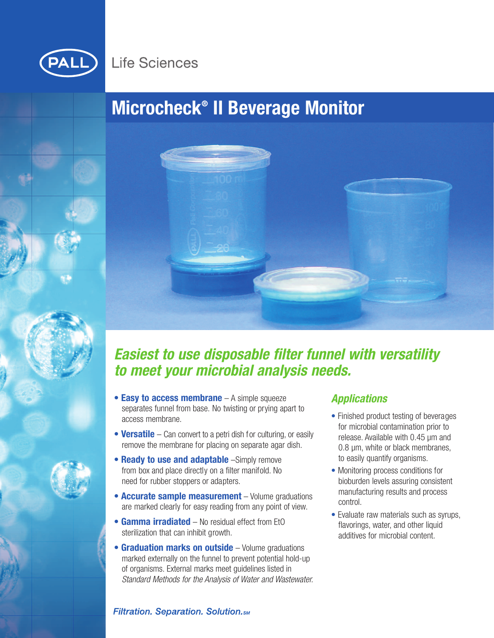

# **Life Sciences**

# **Microcheck® II Beverage Monitor**



# *Easiest to use disposable filter funnel with versatility to meet your microbial analysis needs.*

- **Easy to access membrane** A simple squeeze separates funnel from base. No twisting or prying apart to access membrane.
- **Versatile** Can convert to a petri dish for culturing, or easily remove the membrane for placing on separate agar dish.
- **Ready to use and adaptable** –Simply remove from box and place directly on a filter manifold. No need for rubber stoppers or adapters.
- **Accurate sample measurement** Volume graduations are marked clearly for easy reading from any point of view.
- **• Gamma irradiated** No residual effect from EtO sterilization that can inhibit growth.
- **• Graduation marks on outside** Volume graduations marked externally on the funnel to prevent potential hold-up of organisms. External marks meet guidelines listed in *Standard Methods for the Analysis of Water and Wastewater.*

## *Applications*

- Finished product testing of beverages for microbial contamination prior to release. Available with 0.45 µm and 0.8 µm, white or black membranes, to easily quantify organisms.
- Monitoring process conditions for bioburden levels assuring consistent manufacturing results and process control.
- Evaluate raw materials such as syrups, flavorings, water, and other liquid additives for microbial content.

## **Filtration. Separation. Solution.**sm